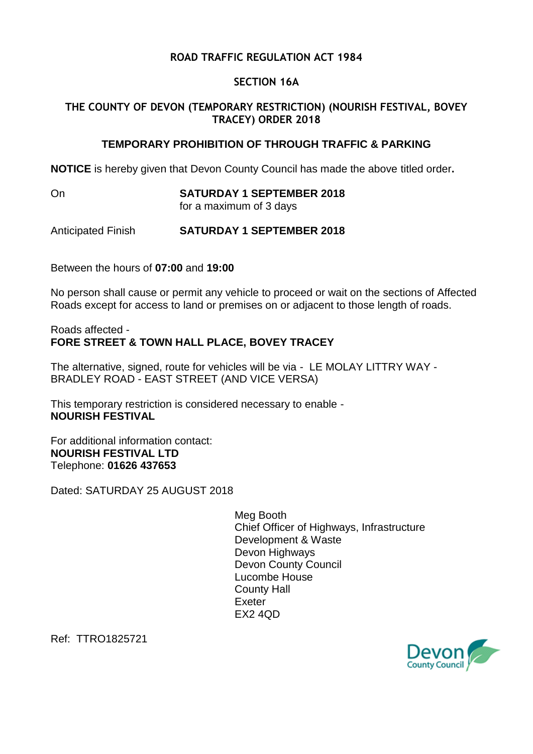## **ROAD TRAFFIC REGULATION ACT 1984**

## **SECTION 16A**

## **THE COUNTY OF DEVON (TEMPORARY RESTRICTION) (NOURISH FESTIVAL, BOVEY TRACEY) ORDER 2018**

## **TEMPORARY PROHIBITION OF THROUGH TRAFFIC & PARKING**

**NOTICE** is hereby given that Devon County Council has made the above titled order**.**

On **SATURDAY 1 SEPTEMBER 2018**

for a maximum of 3 days

Anticipated Finish **SATURDAY 1 SEPTEMBER 2018**

Between the hours of **07:00** and **19:00**

No person shall cause or permit any vehicle to proceed or wait on the sections of Affected Roads except for access to land or premises on or adjacent to those length of roads.

Roads affected - **FORE STREET & TOWN HALL PLACE, BOVEY TRACEY**

The alternative, signed, route for vehicles will be via - LE MOLAY LITTRY WAY - BRADLEY ROAD - EAST STREET (AND VICE VERSA)

This temporary restriction is considered necessary to enable - **NOURISH FESTIVAL**

For additional information contact: **NOURISH FESTIVAL LTD** Telephone: **01626 437653**

Dated: SATURDAY 25 AUGUST 2018

Meg Booth Chief Officer of Highways, Infrastructure Development & Waste Devon Highways Devon County Council Lucombe House County Hall Exeter EX2 4QD

Ref: TTRO1825721